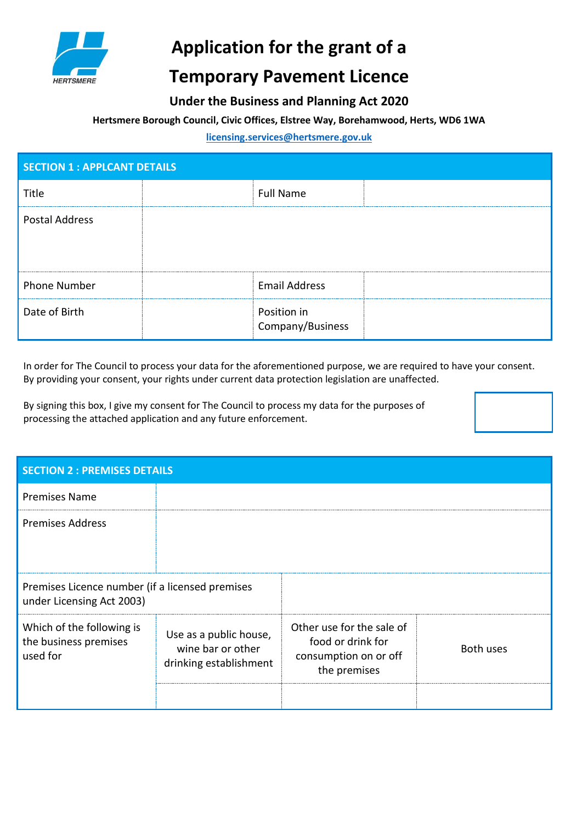

# **Application for the grant of a**

## **Temporary Pavement Licence**

### **Under the Business and Planning Act 2020**

#### **Hertsmere Borough Council, Civic Offices, Elstree Way, Borehamwood, Herts, WD6 1WA**

#### **[licensing.services@hertsmere.gov.uk](mailto:licensing.services@hertsmere.gov.uk)**

| <b>SECTION 1 : APPLCANT DETAILS</b> |                                 |  |  |
|-------------------------------------|---------------------------------|--|--|
| Title<br>                           | <b>Full Name</b>                |  |  |
| Postal Address                      |                                 |  |  |
| <b>Phone Number</b>                 | <b>Email Address</b>            |  |  |
| Date of Birth                       | Position in<br>Company/Business |  |  |

In order for The Council to process your data for the aforementioned purpose, we are required to have your consent. By providing your consent, your rights under current data protection legislation are unaffected.

By signing this box, I give my consent for The Council to process my data for the purposes of processing the attached application and any future enforcement.



| <b>SECTION 2 : PREMISES DETAILS</b>                                          |                                                                       |                                                                                         |                  |
|------------------------------------------------------------------------------|-----------------------------------------------------------------------|-----------------------------------------------------------------------------------------|------------------|
| <b>Premises Name</b>                                                         |                                                                       |                                                                                         |                  |
| <b>Premises Address</b>                                                      |                                                                       |                                                                                         |                  |
| Premises Licence number (if a licensed premises<br>under Licensing Act 2003) |                                                                       |                                                                                         |                  |
| Which of the following is<br>the business premises<br>used for               | Use as a public house,<br>wine bar or other<br>drinking establishment | Other use for the sale of<br>food or drink for<br>consumption on or off<br>the premises | <b>Both uses</b> |
|                                                                              |                                                                       |                                                                                         |                  |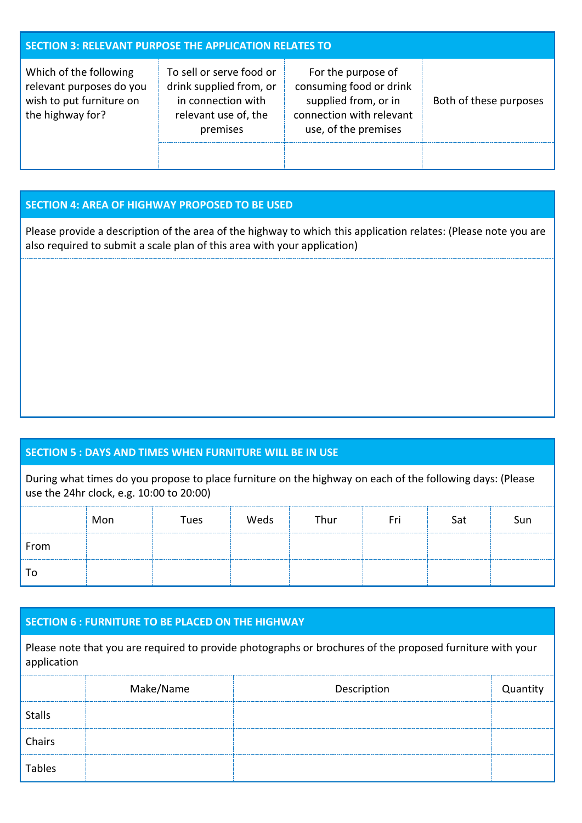| <b>SECTION 3: RELEVANT PURPOSE THE APPLICATION RELATES TO</b>                                      |                                                                                                               |                                                                                                                           |                        |  |
|----------------------------------------------------------------------------------------------------|---------------------------------------------------------------------------------------------------------------|---------------------------------------------------------------------------------------------------------------------------|------------------------|--|
| Which of the following<br>relevant purposes do you<br>wish to put furniture on<br>the highway for? | To sell or serve food or<br>drink supplied from, or<br>in connection with<br>relevant use of, the<br>premises | For the purpose of<br>consuming food or drink<br>supplied from, or in<br>connection with relevant<br>use, of the premises | Both of these purposes |  |
|                                                                                                    |                                                                                                               |                                                                                                                           |                        |  |

#### **SECTION 4: AREA OF HIGHWAY PROPOSED TO BE USED**

Please provide a description of the area of the highway to which this application relates: (Please note you are also required to submit a scale plan of this area with your application)

#### **SECTION 5 : DAYS AND TIMES WHEN FURNITURE WILL BE IN USE**

During what times do you propose to place furniture on the highway on each of the following days: (Please use the 24hr clock, e.g. 10:00 to 20:00)

|      | Mon | Tues | Weds | Thur |  | Sun |
|------|-----|------|------|------|--|-----|
| From |     |      |      |      |  |     |
|      |     |      |      |      |  |     |

#### **SECTION 6 : FURNITURE TO BE PLACED ON THE HIGHWAY**

Please note that you are required to provide photographs or brochures of the proposed furniture with your application

|               | Make/Name | Description |  |
|---------------|-----------|-------------|--|
| <b>Stalls</b> |           |             |  |
| Chairs        |           |             |  |
| <b>Tables</b> |           |             |  |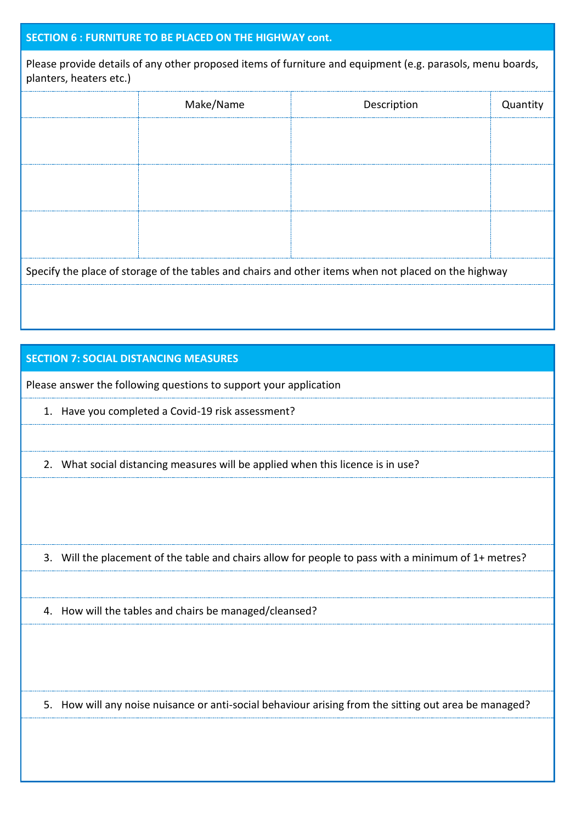#### **SECTION 6 : FURNITURE TO BE PLACED ON THE HIGHWAY cont.**

Please provide details of any other proposed items of furniture and equipment (e.g. parasols, menu boards, planters, heaters etc.)

|  | Make/Name                                                                                            | Description | Quantity |
|--|------------------------------------------------------------------------------------------------------|-------------|----------|
|  |                                                                                                      |             |          |
|  |                                                                                                      |             |          |
|  |                                                                                                      |             |          |
|  |                                                                                                      |             |          |
|  |                                                                                                      |             |          |
|  |                                                                                                      |             |          |
|  | Specify the place of storage of the tables and chairs and other items when not placed on the highway |             |          |
|  |                                                                                                      |             |          |

#### **SECTION 7: SOCIAL DISTANCING MEASURES**

Please answer the following questions to support your application

1. Have you completed a Covid-19 risk assessment?

2. What social distancing measures will be applied when this licence is in use?

3. Will the placement of the table and chairs allow for people to pass with a minimum of 1+ metres?

4. How will the tables and chairs be managed/cleansed?

5. How will any noise nuisance or anti-social behaviour arising from the sitting out area be managed?